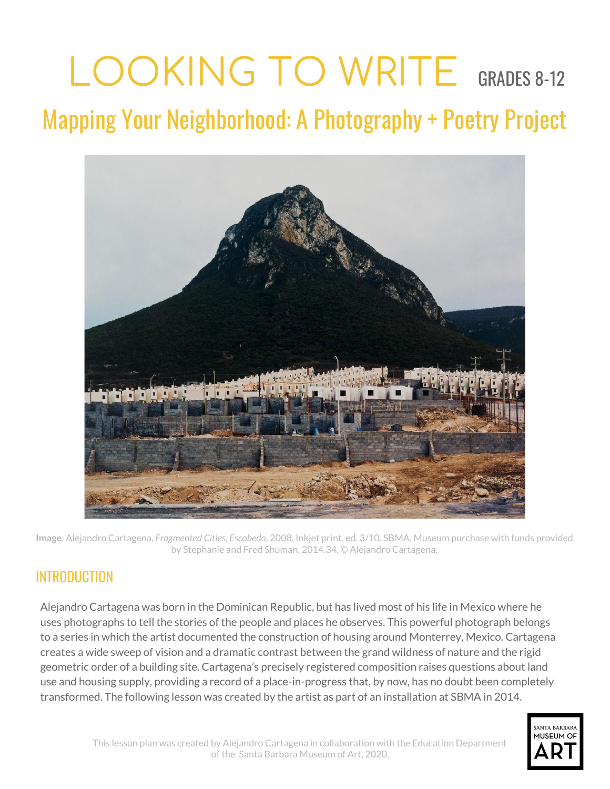# LOOKING TO WRITE GRADES 8-12

Mapping Your Neighborhood: A Photography + Poetry Project



**Image**: Alejandro Cartagena, *Fragmented Cities, Escobedo*, 2008. Inkjet print, ed. 3/10. SBMA, Museum purchase with funds provided by Stephanie and Fred Shuman, 2014.34. © Alejandro Cartagena.

## INTRODUCTION

Alejandro Cartagena was born in the Dominican Republic, but has lived most of his life in Mexico where he uses photographs to tell the stories of the people and places he observes. This powerful photograph belongs to a series in which the artist documented the construction of housing around Monterrey, Mexico. Cartagena creates a wide sweep of vision and a dramatic contrast between the grand wildness of nature and the rigid geometric order of a building site. Cartagena's precisely registered composition raises questions about land use and housing supply, providing a record of a place-in-progress that, by now, has no doubt been completely transformed. The following lesson was created by the artist as part of an installation at SBMA in 2014.

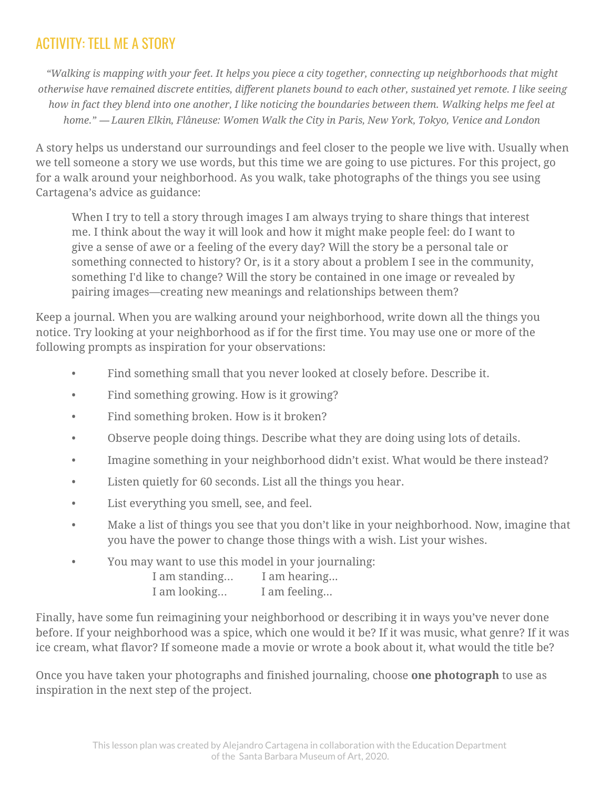# ACTIVITY: TELL ME A STORY

"Walking is mapping with your feet. It helps you piece a city together, connecting up neighborhoods that might otherwise have remained discrete entities, different planets bound to each other, sustained yet remote. I like seeing how in fact they blend into one another, I like noticing the boundaries between them. Walking helps me feel at *home."* ― *Lauren Elkin, Flâneuse: Women Walk the City in Paris, New York, Tokyo, Venice and London*

A story helps us understand our surroundings and feel closer to the people we live with. Usually when we tell someone a story we use words, but this time we are going to use pictures. For this project, go for a walk around your neighborhood. As you walk, take photographs of the things you see using Cartagena's advice as guidance:

When I try to tell a story through images I am always trying to share things that interest me. I think about the way it will look and how it might make people feel: do I want to give a sense of awe or a feeling of the every day? Will the story be a personal tale or something connected to history? Or, is it a story about a problem I see in the community, something I'd like to change? Will the story be contained in one image or revealed by pairing images—creating new meanings and relationships between them?

Keep a journal. When you are walking around your neighborhood, write down all the things you notice. Try looking at your neighborhood as if for the first time. You may use one or more of the following prompts as inspiration for your observations:

- Find something small that you never looked at closely before. Describe it.
- Find something growing. How is it growing?
- Find something broken. How is it broken?
- Observe people doing things. Describe what they are doing using lots of details.
- Imagine something in your neighborhood didn't exist. What would be there instead?
- Listen quietly for 60 seconds. List all the things you hear.
- List everything you smell, see, and feel.
- Make a list of things you see that you don't like in your neighborhood. Now, imagine that you have the power to change those things with a wish. List your wishes.
- You may want to use this model in your journaling:

| I am standing | I am hearing |
|---------------|--------------|
| I am looking  | I am feeling |

Finally, have some fun reimagining your neighborhood or describing it in ways you've never done before. If your neighborhood was a spice, which one would it be? If it was music, what genre? If it was ice cream, what flavor? If someone made a movie or wrote a book about it, what would the title be?

Once you have taken your photographs and finished journaling, choose **one photograph** to use as inspiration in the next step of the project.